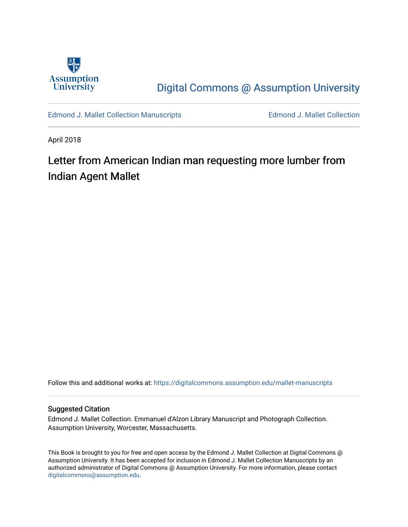

[Digital Commons @ Assumption University](https://digitalcommons.assumption.edu/) 

[Edmond J. Mallet Collection Manuscripts](https://digitalcommons.assumption.edu/mallet-manuscripts) **Edmond J. Mallet Collection** 

April 2018

# Letter from American Indian man requesting more lumber from Indian Agent Mallet

Follow this and additional works at: [https://digitalcommons.assumption.edu/mallet-manuscripts](https://digitalcommons.assumption.edu/mallet-manuscripts?utm_source=digitalcommons.assumption.edu%2Fmallet-manuscripts%2F7&utm_medium=PDF&utm_campaign=PDFCoverPages) 

#### Suggested Citation

Edmond J. Mallet Collection. Emmanuel d'Alzon Library Manuscript and Photograph Collection. Assumption University, Worcester, Massachusetts.

This Book is brought to you for free and open access by the Edmond J. Mallet Collection at Digital Commons @ Assumption University. It has been accepted for inclusion in Edmond J. Mallet Collection Manuscripts by an authorized administrator of Digital Commons @ Assumption University. For more information, please contact [digitalcommons@assumption.edu](mailto:digitalcommons@assumption.edu).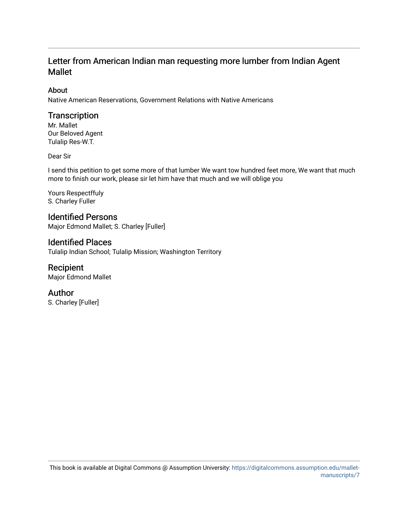# Letter from American Indian man requesting more lumber from Indian Agent Mallet

### About

Native American Reservations, Government Relations with Native Americans

## **Transcription**

Mr. Mallet Our Beloved Agent Tulalip Res-W.T.

#### Dear Sir

I send this petition to get some more of that lumber We want tow hundred feet more, We want that much more to finish our work, please sir let him have that much and we will oblige you

Yours Respectffuly S. Charley Fuller

Identified Persons Major Edmond Mallet; S. Charley [Fuller]

## Identified Places

Tulalip Indian School; Tulalip Mission; Washington Territory

# Recipient

Major Edmond Mallet

## Author

S. Charley [Fuller]